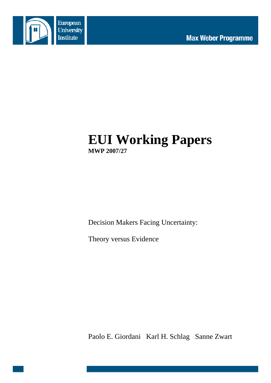

# **EUI Working Papers MWP 2007/27**

Decision Makers Facing Uncertainty:

Theory versus Evidence

Paolo E. Giordani Karl H. Schlag Sanne Zwart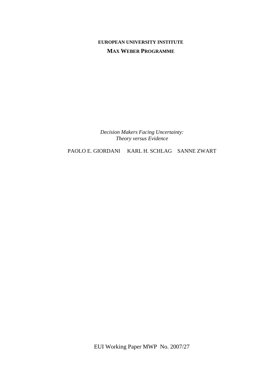## **EUROPEAN UNIVERSITY INSTITUTE MAX WEBER PROGRAMME**

*Decision Makers Facing Uncertainty: Theory versus Evidence* 

PAOLO E. GIORDANI KARL H. SCHLAG SANNE ZWART

EUI Working Paper MWP No. 2007/27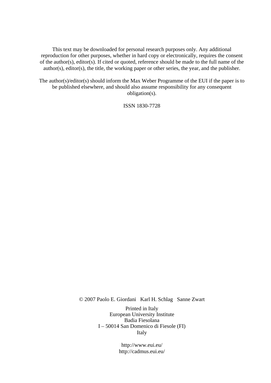This text may be downloaded for personal research purposes only. Any additional reproduction for other purposes, whether in hard copy or electronically, requires the consent of the author(s), editor(s). If cited or quoted, reference should be made to the full name of the author(s), editor(s), the title, the working paper or other series, the year, and the publisher.

The author(s)/editor(s) should inform the Max Weber Programme of the EUI if the paper is to be published elsewhere, and should also assume responsibility for any consequent obligation(s).

ISSN 1830-7728

© 2007 Paolo E. Giordani Karl H. Schlag Sanne Zwart

Printed in Italy European University Institute Badia Fiesolana I – 50014 San Domenico di Fiesole (FI) Italy

> http://www.eui.eu/ http://cadmus.eui.eu/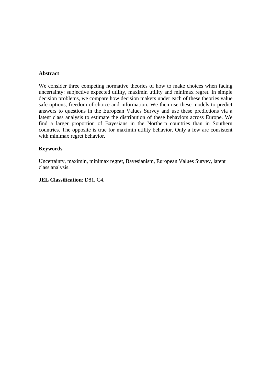#### **Abstract**

We consider three competing normative theories of how to make choices when facing uncertainty: subjective expected utility, maximin utility and minimax regret. In simple decision problems, we compare how decision makers under each of these theories value safe options, freedom of choice and information. We then use these models to predict answers to questions in the European Values Survey and use these predictions via a latent class analysis to estimate the distribution of these behaviors across Europe. We find a larger proportion of Bayesians in the Northern countries than in Southern countries. The opposite is true for maximin utility behavior. Only a few are consistent with minimax regret behavior.

### **Keywords**

Uncertainty, maximin, minimax regret, Bayesianism, European Values Survey, latent class analysis.

#### **JEL Classification**: D81, C4.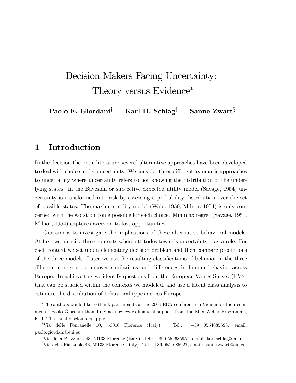# Decision Makers Facing Uncertainty: Theory versus Evidence

Paolo E. Giordani<sup>†</sup> Karl H. Schlag<sup>‡</sup> Sanne Zwart<sup>§</sup>

# 1 Introduction

In the decision-theoretic literature several alternative approaches have been developed to deal with choice under uncertainty. We consider three different axiomatic approaches to uncertainty where uncertainty refers to not knowing the distribution of the underlying states. In the Bayesian or subjective expected utility model (Savage, 1954) uncertainty is transformed into risk by assessing a probability distribution over the set of possible states. The maximin utility model (Wald, 1950, Milnor, 1954) is only concerned with the worst outcome possible for each choice. Minimax regret (Savage, 1951, Milnor, 1954) captures aversion to lost opportunities.

Our aim is to investigate the implications of these alternative behavioral models. At first we identify three contexts where attitudes towards uncertainty play a role. For each context we set up an elementary decision problem and then compare predictions of the three models. Later we use the resulting classifications of behavior in the three different contexts to uncover similarities and differences in human behavior across Europe. To achieve this we identify questions from the European Values Survey (EVS) that can be studied within the contexts we modeled, and use a latent class analysis to estimate the distribution of behavioral types across Europe.

The authors would like to thank participants at the 2006 EEA conference in Vienna for their comments. Paolo Giordani thankfully acknowlegdes financial support from the Max Weber Programme, EUI. The usual disclaimers apply.

<sup>&</sup>lt;sup>†</sup>Via delle Fontanelle 10, 50016 Florence (Italy). Tel.:  $+39$  0554685698, email: paolo.giordani@eui.eu.

<sup>&</sup>lt;sup>‡</sup>Via della Piazzuola 43, 50133 Florence (Italy). Tel.:  $+39$  0554685951, email: karl.schlag@eui.eu.  $N$ ia della Piazzuola 43, 50133 Florence (Italy). Tel.: +39 0554685927, email: sanne.zwart@eui.eu.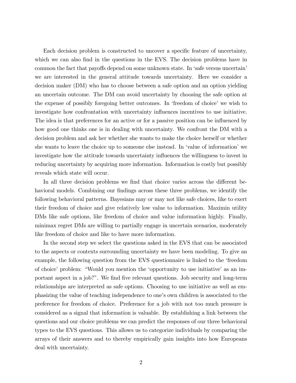Each decision problem is constructed to uncover a specific feature of uncertainty, which we can also find in the questions in the EVS. The decision problems have in common the fact that payoffs depend on some unknown state. In 'safe versus uncertain' we are interested in the general attitude towards uncertainty. Here we consider a decision maker (DM) who has to choose between a safe option and an option yielding an uncertain outcome. The DM can avoid uncertainty by choosing the safe option at the expense of possibly foregoing better outcomes. In 'freedom of choice' we wish to investigate how confrontation with uncertainty influences incentives to use initiative. The idea is that preferences for an active or for a passive position can be influenced by how good one thinks one is in dealing with uncertainty. We confront the DM with a decision problem and ask her whether she wants to make the choice herself or whether she wants to leave the choice up to someone else instead. In 'value of information' we investigate how the attitude towards uncertainty influences the willingness to invest in reducing uncertainty by acquiring more information. Information is costly but possibly reveals which state will occur.

In all three decision problems we find that choice varies across the different behavioral models. Combining our findings across these three problems, we identify the following behavioral patterns. Bayesians may or may not like safe choices, like to exert their freedom of choice and give relatively low value to information. Maximin utility DMs like safe options, like freedom of choice and value information highly. Finally, minimax regret DMs are willing to partially engage in uncertain scenarios, moderately like freedom of choice and like to have more information.

In the second step we select the questions asked in the EVS that can be associated to the aspects or contexts surrounding uncertainty we have been modeling. To give an example, the following question from the EVS questionnaire is linked to the ëfreedom of choice' problem: "Would you mention the 'opportunity to use initiative' as an important aspect in a job?". We find five relevant questions. Job security and long-term relationships are interpreted as safe options. Choosing to use initiative as well as emphasizing the value of teaching independence to one's own children is associated to the preference for freedom of choice. Preference for a job with not too much pressure is considered as a signal that information is valuable. By establishing a link between the questions and our choice problems we can predict the responses of our three behavioral types to the EVS questions. This allows us to categorize individuals by comparing the arrays of their answers and to thereby empirically gain insights into how Europeans deal with uncertainty.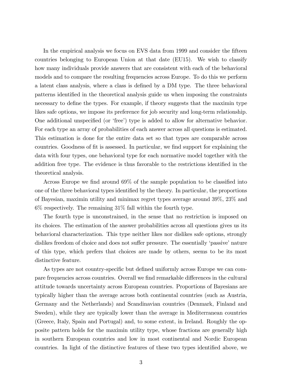In the empirical analysis we focus on EVS data from 1999 and consider the fifteen countries belonging to European Union at that date (EU15). We wish to classify how many individuals provide answers that are consistent with each of the behavioral models and to compare the resulting frequencies across Europe. To do this we perform a latent class analysis, where a class is defined by a DM type. The three behavioral patterns identified in the theoretical analysis guide us when imposing the constraints necessary to define the types. For example, if theory suggests that the maximin type likes safe options, we impose its preference for job security and long-term relationship. One additional unspecified (or 'free') type is added to allow for alternative behavior. For each type an array of probabilities of each answer across all questions is estimated. This estimation is done for the entire data set so that types are comparable across countries. Goodness of fit is assessed. In particular, we find support for explaining the data with four types, one behavioral type for each normative model together with the addition free type. The evidence is thus favorable to the restrictions identified in the theoretical analysis.

Across Europe we find around  $69\%$  of the sample population to be classified into one of the three behavioral types identified by the theory. In particular, the proportions of Bayesian, maximin utility and minimax regret types average around 39%, 23% and 6% respectively. The remaining 31% fall within the fourth type.

The fourth type is unconstrained, in the sense that no restriction is imposed on its choices. The estimation of the answer probabilities across all questions gives us its behavioral characterization. This type neither likes nor dislikes safe options, strongly dislikes freedom of choice and does not suffer pressure. The essentially 'passive' nature of this type, which prefers that choices are made by others, seems to be its most distinctive feature.

As types are not country-specific but defined uniformly across Europe we can compare frequencies across countries. Overall we find remarkable differences in the cultural attitude towards uncertainty across European countries. Proportions of Bayesians are typically higher than the average across both continental countries (such as Austria, Germany and the Netherlands) and Scandinavian countries (Denmark, Finland and Sweden), while they are typically lower than the average in Mediterranean countries (Greece, Italy, Spain and Portugal) and, to some extent, in Ireland. Roughly the opposite pattern holds for the maximin utility type, whose fractions are generally high in southern European countries and low in most continental and Nordic European countries. In light of the distinctive features of these two types identified above, we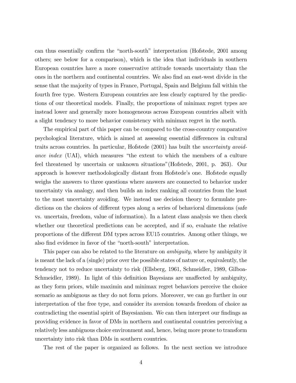can thus essentially confirm the "north-south" interpretation (Hofstede, 2001 among others; see below for a comparison), which is the idea that individuals in southern European countries have a more conservative attitude towards uncertainty than the ones in the northern and continental countries. We also find an east-west divide in the sense that the majority of types in France, Portugal, Spain and Belgium fall within the fourth free type. Western European countries are less clearly captured by the predictions of our theoretical models. Finally, the proportions of minimax regret types are instead lower and generally more homogeneous across European countries albeit with a slight tendency to more behavior consistency with minimax regret in the north.

The empirical part of this paper can be compared to the cross-country comparative psychological literature, which is aimed at assessing essential differences in cultural traits across countries. In particular, Hofstede (2001) has built the uncertainty avoidance index  $(UAI)$ , which measures "the extent to which the members of a culture feel threatened by uncertain or unknown situationsî(Hofstede, 2001, p. 263). Our approach is however methodologically distant from Hofstede's one. Hofstede equally weighs the answers to three questions where answers are connected to behavior under uncertainty via analogy, and then builds an index ranking all countries from the least to the most uncertainty avoiding. We instead use decision theory to formulate predictions on the choices of different types along a series of behavioral dimensions (safe vs. uncertain, freedom, value of information). In a latent class analysis we then check whether our theoretical predictions can be accepted, and if so, evaluate the relative proportions of the different DM types across EU15 countries. Among other things, we also find evidence in favor of the "north-south" interpretation.

This paper can also be related to the literature on *ambiguity*, where by ambiguity it is meant the lack of a (single) prior over the possible states of nature or, equivalently, the tendency not to reduce uncertainty to risk (Ellsberg, 1961, Schmeidler, 1989, Gilboa-Schmeidler, 1989). In light of this definition Bayesians are unaffected by ambiguity, as they form priors, while maximin and minimax regret behaviors perceive the choice scenario as ambiguous as they do not form priors. Moreover, we can go further in our interpretation of the free type, and consider its aversion towards freedom of choice as contradicting the essential spirit of Bayesianism. We can then interpret our findings as providing evidence in favor of DMs in northern and continental countries perceiving a relatively less ambiguous choice environment and, hence, being more prone to transform uncertainty into risk than DMs in southern countries.

The rest of the paper is organized as follows. In the next section we introduce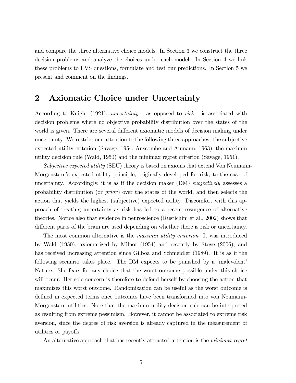and compare the three alternative choice models. In Section 3 we construct the three decision problems and analyze the choices under each model. In Section 4 we link these problems to EVS questions, formulate and test our predictions. In Section 5 we present and comment on the findings.

### 2 Axiomatic Choice under Uncertainty

According to Knight (1921), uncertainty - as opposed to risk - is associated with decision problems where no objective probability distribution over the states of the world is given. There are several different axiomatic models of decision making under uncertainty. We restrict our attention to the following three approaches: the subjective expected utility criterion (Savage, 1954, Anscombe and Aumann, 1963), the maximin utility decision rule (Wald, 1950) and the minimax regret criterion (Savage, 1951).

Subjective expected utility (SEU) theory is based on axioms that extend Von Neumann-Morgensternís expected utility principle, originally developed for risk, to the case of uncertainty. Accordingly, it is as if the decision maker (DM) *subjectively* assesses a probability distribution (or prior) over the states of the world, and then selects the action that yields the highest (subjective) expected utility. Discomfort with this approach of treating uncertainty as risk has led to a recent resurgence of alternative theories. Notice also that evidence in neuroscience (Rustichini et al., 2002) shows that different parts of the brain are used depending on whether there is risk or uncertainty.

The most common alternative is the *maximin utility criterion*. It was introduced by Wald (1950), axiomatized by Milnor (1954) and recently by Stoye (2006), and has received increasing attention since Gilboa and Schmeidler (1989). It is as if the following scenario takes place. The DM expects to be punished by a 'malevolent' Nature. She fears for any choice that the worst outcome possible under this choice will occur. Her sole concern is therefore to defend herself by choosing the action that maximizes this worst outcome. Randomization can be useful as the worst outcome is defined in expected terms once outcomes have been transformed into von Neumann-Morgenstern utilities. Note that the maximin utility decision rule can be interpreted as resulting from extreme pessimism. However, it cannot be associated to extreme risk aversion, since the degree of risk aversion is already captured in the measurement of utilities or payoffs.

An alternative approach that has recently attracted attention is the *minimax regret*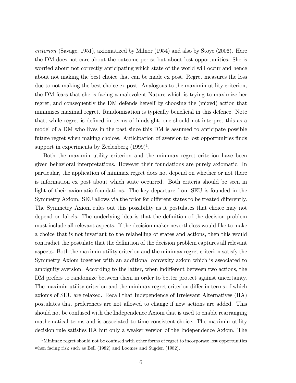criterion (Savage, 1951), axiomatized by Milnor (1954) and also by Stoye (2006). Here the DM does not care about the outcome per se but about lost opportunities. She is worried about not correctly anticipating which state of the world will occur and hence about not making the best choice that can be made ex post. Regret measures the loss due to not making the best choice ex post. Analogous to the maximin utility criterion, the DM fears that she is facing a malevolent Nature which is trying to maximize her regret, and consequently the DM defends herself by choosing the (mixed) action that minimizes maximal regret. Randomization is typically beneficial in this defence. Note that, while regret is defined in terms of hindsight, one should not interpret this as a model of a DM who lives in the past since this DM is assumed to anticipate possible future regret when making choices. Anticipation of aversion to lost opportunities finds support in experiments by Zeelenberg  $(1999)^{1}$ .

Both the maximin utility criterion and the minimax regret criterion have been given behavioral interpretations. However their foundations are purely axiomatic. In particular, the application of minimax regret does not depend on whether or not there is information ex post about which state occurred. Both criteria should be seen in light of their axiomatic foundations. The key departure from SEU is founded in the Symmetry Axiom. SEU allows via the prior for different states to be treated differently. The Symmetry Axiom rules out this possibility as it postulates that choice may not depend on labels. The underlying idea is that the definition of the decision problem must include all relevant aspects. If the decision maker nevertheless would like to make a choice that is not invariant to the relabelling of states and actions, then this would contradict the postulate that the definition of the decision problem captures all relevant aspects. Both the maximin utility criterion and the minimax regret criterion satisfy the Symmetry Axiom together with an additional convexity axiom which is associated to ambiguity aversion. According to the latter, when indifferent between two actions, the DM prefers to randomize between them in order to better protect against uncertainty. The maximin utility criterion and the minimax regret criterion differ in terms of which axioms of SEU are relaxed. Recall that Independence of Irrelevant Alternatives (IIA) postulates that preferences are not allowed to change if new actions are added. This should not be confused with the Independence Axiom that is used to enable rearranging mathematical terms and is associated to time consistent choice. The maximin utility decision rule satisfies IIA but only a weaker version of the Independence Axiom. The

 $1$ Minimax regret should not be confused with other forms of regret to incorporate lost opportunities when facing risk such as Bell (1982) and Loomes and Sugden (1982).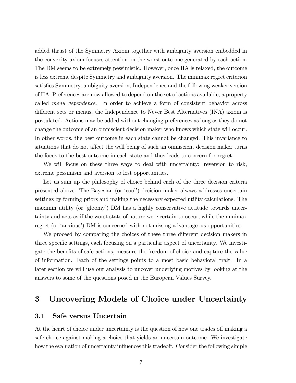added thrust of the Symmetry Axiom together with ambiguity aversion embedded in the convexity axiom focuses attention on the worst outcome generated by each action. The DM seems to be extremely pessimistic. However, once IIA is relaxed, the outcome is less extreme despite Symmetry and ambiguity aversion. The minimax regret criterion satisfies Symmetry, ambiguity aversion, Independence and the following weaker version of IIA. Preferences are now allowed to depend on the set of actions available, a property called menu dependence. In order to achieve a form of consistent behavior across different sets or menus, the Independence to Never Best Alternatives (INA) axiom is postulated. Actions may be added without changing preferences as long as they do not change the outcome of an omniscient decision maker who knows which state will occur. In other words, the best outcome in each state cannot be changed. This invariance to situations that do not affect the well being of such an omniscient decision maker turns the focus to the best outcome in each state and thus leads to concern for regret.

We will focus on these three ways to deal with uncertainty: reversion to risk, extreme pessimism and aversion to lost opportunities.

Let us sum up the philosophy of choice behind each of the three decision criteria presented above. The Bayesian (or ëcoolí) decision maker always addresses uncertain settings by forming priors and making the necessary expected utility calculations. The maximin utility (or 'gloomy') DM has a highly conservative attitude towards uncertainty and acts as if the worst state of nature were certain to occur, while the minimax regret (or 'anxious') DM is concerned with not missing advantageous opportunities.

We proceed by comparing the choices of these three different decision makers in three specific settings, each focusing on a particular aspect of uncertainty. We investigate the benefits of safe actions, measure the freedom of choice and capture the value of information. Each of the settings points to a most basic behavioral trait. In a later section we will use our analysis to uncover underlying motives by looking at the answers to some of the questions posed in the European Values Survey.

## 3 Uncovering Models of Choice under Uncertainty

#### 3.1 Safe versus Uncertain

At the heart of choice under uncertainty is the question of how one trades of making a safe choice against making a choice that yields an uncertain outcome. We investigate how the evaluation of uncertainty influences this tradeoff. Consider the following simple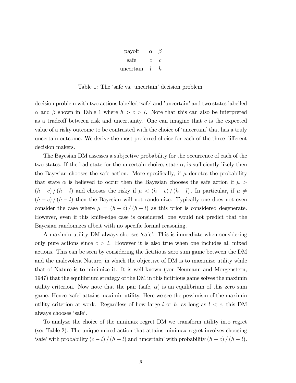| payoff    | $\alpha$ |    |
|-----------|----------|----|
| safe      | C        | C  |
| uncertain |          | h. |

Table 1: The 'safe vs. uncertain' decision problem.

decision problem with two actions labelled 'safe' and 'uncertain' and two states labelled  $\alpha$  and  $\beta$  shown in Table 1 where  $h > c > l$ . Note that this can also be interpreted as a tradeoff between risk and uncertainty. One can imagine that  $c$  is the expected value of a risky outcome to be contrasted with the choice of 'uncertain' that has a truly uncertain outcome. We derive the most preferred choice for each of the three different decision makers.

The Bayesian DM assesses a subjective probability for the occurrence of each of the two states. If the bad state for the uncertain choice, state  $\alpha$ , is sufficiently likely then the Bayesian chooses the safe action. More specifically, if  $\mu$  denotes the probability that state  $\alpha$  is believed to occur then the Bayesian chooses the safe action if  $\mu >$  $(h - c)/(h - l)$  and chooses the risky if  $\mu < (h - c)/(h - l)$ . In particular, if  $\mu \neq$  $(h - c) / (h - l)$  then the Bayesian will not randomize. Typically one does not even consider the case where  $\mu = (h - c)/(h - l)$  as this prior is considered degenerate. However, even if this knife-edge case is considered, one would not predict that the Bayesian randomizes albeit with no specific formal reasoning.

A maximin utility DM always chooses 'safe'. This is immediate when considering only pure actions since  $c > l$ . However it is also true when one includes all mixed actions. This can be seen by considering the Öctitious zero sum game between the DM and the malevolent Nature, in which the objective of DM is to maximize utility while that of Nature is to minimize it. It is well known (von Neumann and Morgenstern, 1947) that the equilibrium strategy of the DM in this Öctitious game solves the maximin utility criterion. Now note that the pair (safe,  $\alpha$ ) is an equilibrium of this zero sum game. Hence 'safe' attains maximin utility. Here we see the pessimism of the maximin utility criterion at work. Regardless of how large l or h, as long as  $l < c$ , this DM always chooses 'safe'.

To analyze the choice of the minimax regret DM we transform utility into regret (see Table 2). The unique mixed action that attains minimax regret involves choosing 'safe' with probability  $(c - l) / (h - l)$  and 'uncertain' with probability  $(h - c) / (h - l)$ .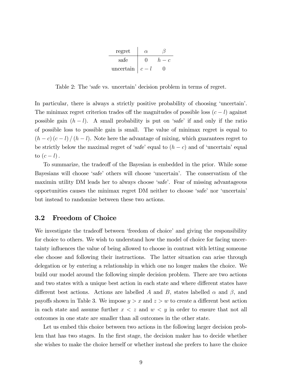| regret             | $\alpha$ |       |
|--------------------|----------|-------|
| safe               |          | $h-c$ |
| uncertain $ c - l$ |          |       |

Table 2: The 'safe vs. uncertain' decision problem in terms of regret.

In particular, there is always a strictly positive probability of choosing 'uncertain'. The minimax regret criterion trades of the magnitudes of possible loss  $(c - l)$  against possible gain  $(h - l)$ . A small probability is put on 'safe' if and only if the ratio of possible loss to possible gain is small. The value of minimax regret is equal to  $(h - c) (c - l) / (h - l)$ . Note here the advantage of mixing, which guarantees regret to be strictly below the maximal regret of 'safe' equal to  $(h - c)$  and of 'uncertain' equal to  $(c - l)$ .

To summarize, the tradeoff of the Bayesian is embedded in the prior. While some Bayesians will choose 'safe' others will choose 'uncertain'. The conservatism of the maximin utility DM leads her to always choose 'safe'. Fear of missing advantageous opportunities causes the minimax regret DM neither to choose 'safe' nor 'uncertain' but instead to randomize between these two actions.

#### 3.2 Freedom of Choice

We investigate the tradeoff between 'freedom of choice' and giving the responsibility for choice to others. We wish to understand how the model of choice for facing uncertainty influences the value of being allowed to choose in contrast with letting someone else choose and following their instructions. The latter situation can arise through delegation or by entering a relationship in which one no longer makes the choice. We build our model around the following simple decision problem. There are two actions and two states with a unique best action in each state and where different states have different best actions. Actions are labelled A and B, states labelled  $\alpha$  and  $\beta$ , and payoffs shown in Table 3. We impose  $y > x$  and  $z > w$  to create a different best action in each state and assume further  $x < z$  and  $w < y$  in order to ensure that not all outcomes in one state are smaller than all outcomes in the other state.

Let us embed this choice between two actions in the following larger decision problem that has two stages. In the first stage, the decision maker has to decide whether she wishes to make the choice herself or whether instead she prefers to have the choice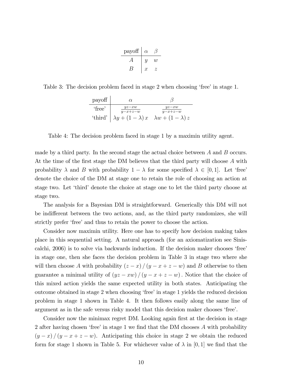| payoff | $\alpha$ |    |
|--------|----------|----|
|        | Y        | W  |
|        | x        | 7. |

Table 3: The decision problem faced in stage 2 when choosing 'free' in stage 1.

| payoff | $\alpha$                                                           |                      |
|--------|--------------------------------------------------------------------|----------------------|
| 'free' | $yz-xw$<br>$y-x+z-w$                                               | $yz-xw$<br>$y-x+z-w$ |
|        | 'third' $\lambda y + (1 - \lambda)x$ $\lambda w + (1 - \lambda) z$ |                      |

Table 4: The decision problem faced in stage 1 by a maximin utility agent.

made by a third party. In the second stage the actual choice between  $A$  and  $B$  occurs. At the time of the first stage the DM believes that the third party will choose A with probability  $\lambda$  and B with probability  $1 - \lambda$  for some specified  $\lambda \in [0, 1]$ . Let 'free' denote the choice of the DM at stage one to retain the role of choosing an action at stage two. Let 'third' denote the choice at stage one to let the third party choose at stage two.

The analysis for a Bayesian DM is straightforward. Generically this DM will not be indifferent between the two actions, and, as the third party randomizes, she will strictly prefer 'free' and thus to retain the power to choose the action.

Consider now maximin utility. Here one has to specify how decision making takes place in this sequential setting. A natural approach (for an axiomatization see Siniscalchi, 2006) is to solve via backwards induction. If the decision maker chooses 'free' in stage one, then she faces the decision problem in Table 3 in stage two where she will then choose A with probability  $(z - x)/(y - x + z - w)$  and B otherwise to then guarantee a minimal utility of  $(yz - xw) / (y - x + z - w)$ . Notice that the choice of this mixed action yields the same expected utility in both states. Anticipating the outcome obtained in stage 2 when choosing 'free' in stage 1 yields the reduced decision problem in stage 1 shown in Table 4. It then follows easily along the same line of argument as in the safe versus risky model that this decision maker chooses 'free'.

Consider now the minimax regret DM. Looking again first at the decision in stage 2 after having chosen 'free' in stage 1 we find that the DM chooses  $\tilde{A}$  with probability  $(y - x)/(y - x + z - w)$ . Anticipating this choice in stage 2 we obtain the reduced form for stage 1 shown in Table 5. For whichever value of  $\lambda$  in [0, 1] we find that the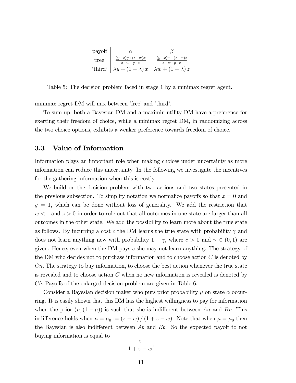| payoff |                                                                    |                              |
|--------|--------------------------------------------------------------------|------------------------------|
| 'free' | $(y-x)y+(z-w)x$<br>$z-w+y-x$                                       | $(y-x)w+(z-w)z$<br>$z-w+y-x$ |
|        | 'third' $\lambda y + (1 - \lambda)x$ $\lambda w + (1 - \lambda) z$ |                              |

Table 5: The decision problem faced in stage 1 by a minimax regret agent.

minimax regret DM will mix between 'free' and 'third'.

To sum up, both a Bayesian DM and a maximin utility DM have a preference for exerting their freedom of choice, while a minimax regret DM, in randomizing across the two choice options, exhibits a weaker preference towards freedom of choice.

#### 3.3 Value of Information

Information plays an important role when making choices under uncertainty as more information can reduce this uncertainty. In the following we investigate the incentives for the gathering information when this is costly.

We build on the decision problem with two actions and two states presented in the previous subsection. To simplify notation we normalize payoffs so that  $x = 0$  and  $y = 1$ , which can be done without loss of generality. We add the restriction that  $w < 1$  and  $z > 0$  in order to rule out that all outcomes in one state are larger than all outcomes in the other state. We add the possibility to learn more about the true state as follows. By incurring a cost c the DM learns the true state with probability  $\gamma$  and does not learn anything new with probability  $1 - \gamma$ , where  $c > 0$  and  $\gamma \in (0, 1)$  are given. Hence, even when the DM pays  $c$  she may not learn anything. The strategy of the DM who decides not to purchase information and to choose action  $C$  is denoted by  $C_n$ . The strategy to buy information, to choose the best action whenever the true state is revealed and to choose action C when no new information is revealed is denoted by Cb. Payoffs of the enlarged decision problem are given in Table 6.

Consider a Bayesian decision maker who puts prior probability  $\mu$  on state  $\alpha$  occurring. It is easily shown that this DM has the highest willingness to pay for information when the prior  $(\mu,(1 - \mu))$  is such that she is indifferent between An and Bn. This indifference holds when  $\mu = \mu_0 := (z - w) / (1 + z - w)$ . Note that when  $\mu = \mu_0$  then the Bayesian is also indifferent between  $Ab$  and  $Bb$ . So the expected payoff to not buying information is equal to

$$
\frac{z}{1+z-w},
$$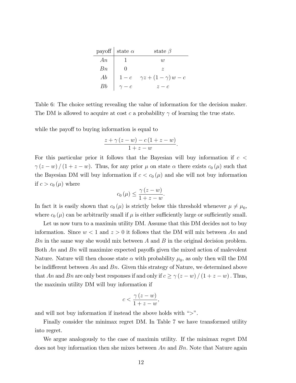|       | payoff   state $\alpha$ | state $\beta$                       |
|-------|-------------------------|-------------------------------------|
| An    |                         | $\overline{u}$                      |
| $B_n$ |                         | $\boldsymbol{z}$                    |
| Ab    |                         | $1-c$ $\gamma z + (1-\gamma) w - c$ |
| Bb    | $\gamma - c$            | $z-c$                               |

Table 6: The choice setting revealing the value of information for the decision maker. The DM is allowed to acquire at cost c a probability  $\gamma$  of learning the true state.

while the payoff to buying information is equal to

$$
\frac{z+\gamma(z-w)-c(1+z-w)}{1+z-w}.
$$

For this particular prior it follows that the Bayesian will buy information if  $c <$  $\gamma(z - w)/(1 + z - w)$ . Thus, for any prior  $\mu$  on state  $\alpha$  there exists  $c_0(\mu)$  such that the Bayesian DM will buy information if  $c < c_0(\mu)$  and she will not buy information if  $c > c_0(\mu)$  where

$$
c_0(\mu) \le \frac{\gamma (z - w)}{1 + z - w}.
$$

In fact it is easily shown that  $c_0(\mu)$  is strictly below this threshold whenever  $\mu \neq \mu_0$ , where  $c_0(\mu)$  can be arbitrarily small if  $\mu$  is either sufficiently large or sufficiently small.

Let us now turn to a maximin utility DM. Assume that this DM decides not to buy information. Since  $w < 1$  and  $z > 0$  it follows that the DM will mix between An and  $Bn$  in the same way she would mix between A and B in the original decision problem. Both  $An$  and  $Bn$  will maximize expected payoffs given the mixed action of malevolent Nature. Nature will then choose state  $\alpha$  with probability  $\mu_0$ , as only then will the DM be indifferent between  $An$  and  $Bn$ . Given this strategy of Nature, we determined above that An and Bn are only best responses if and only if  $c \ge \gamma (z - w)/(1 + z - w)$ . Thus, the maximin utility DM will buy information if

$$
c < \frac{\gamma (z - w)}{1 + z - w},
$$

and will not buy information if instead the above holds with  $\sim$ ".

Finally consider the minimax regret DM. In Table 7 we have transformed utility into regret.

We argue analogously to the case of maximin utility. If the minimax regret DM does not buy information then she mixes between  $An$  and  $B_n$ . Note that Nature again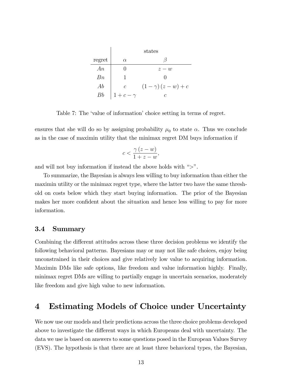|        | states        |                           |  |  |
|--------|---------------|---------------------------|--|--|
| regret | $\alpha$      |                           |  |  |
| An     |               | $z-w$                     |  |  |
| Bn     |               |                           |  |  |
| Ab     | $\mathcal{C}$ | $(1 - \gamma)(z - w) + c$ |  |  |
| Bb     | $1+c-\gamma$  | C                         |  |  |

Table 7: The 'value of information' choice setting in terms of regret.

ensures that she will do so by assigning probability  $\mu_0$  to state  $\alpha$ . Thus we conclude as in the case of maximin utility that the minimax regret DM buys information if

$$
c < \frac{\gamma (z - w)}{1 + z - w},
$$

and will not buy information if instead the above holds with  $\sim$ ".

To summarize, the Bayesian is always less willing to buy information than either the maximin utility or the minimax regret type, where the latter two have the same threshold on costs below which they start buying information. The prior of the Bayesian makes her more confident about the situation and hence less willing to pay for more information.

#### 3.4 Summary

Combining the different attitudes across these three decision problems we identify the following behavioral patterns. Bayesians may or may not like safe choices, enjoy being unconstrained in their choices and give relatively low value to acquiring information. Maximin DMs like safe options, like freedom and value information highly. Finally, minimax regret DMs are willing to partially engage in uncertain scenarios, moderately like freedom and give high value to new information.

## 4 Estimating Models of Choice under Uncertainty

We now use our models and their predictions across the three choice problems developed above to investigate the different ways in which Europeans deal with uncertainty. The data we use is based on answers to some questions posed in the European Values Survey (EVS). The hypothesis is that there are at least three behavioral types, the Bayesian,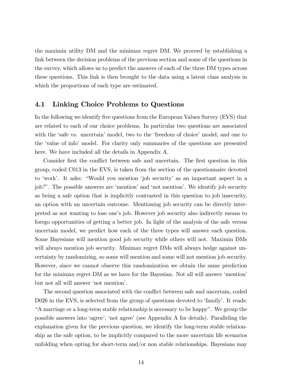the maximin utility DM and the minimax regret DM. We proceed by establishing a link between the decision problems of the previous section and some of the questions in the survey, which allows us to predict the answers of each of the three DM types across these questions. This link is then brought to the data using a latent class analysis in which the proportions of each type are estimated.

### 4.1 Linking Choice Problems to Questions

In the following we identify five questions from the European Values Survey (EVS) that are related to each of our choice problems. In particular two questions are associated with the 'safe vs. uncertain' model, two to the 'freedom of choice' model, and one to the 'value of info' model. For clarity only summaries of the questions are presented here. We have included all the details in Appendix A.

Consider first the conflict between safe and uncertain. The first question in this group, coded C013 in the EVS, is taken from the section of the questionnaire devoted to 'work'. It asks: "Would you mention 'job security' as an important aspect in a job?". The possible answers are 'mention' and 'not mention'. We identify job security as being a safe option that is implicitly contrasted in this question to job insecurity, an option with an uncertain outcome. Mentioning job security can be directly interpreted as not wanting to lose oneís job. However job security also indirectly means to forego opportunities of getting a better job. In light of the analysis of the safe versus uncertain model, we predict how each of the three types will answer each question. Some Bayesians will mention good job security while others will not. Maximin DMs will always mention job security. Minimax regret DMs will always hedge against uncertainty by randomizing, so some will mention and some will not mention job security. However, since we cannot observe this randomization we obtain the same prediction for the minimax regret DM as we have for the Bayesian. Not all will answer 'mention' but not all will answer 'not mention'.

The second question associated with the conflict between safe and uncertain, coded D026 in the EVS, is selected from the group of questions devoted to 'family'. It reads: ìA marriage or a long-term stable relationship is necessary to be happyî. We group the possible answers into 'agree', 'not agree' (see Appendix A for details). Paralleling the explanation given for the previous question, we identify the long-term stable relationship as the safe option, to be implicitly compared to the more uncertain life scenarios unfolding when opting for short-term and/or non stable relationships. Bayesians may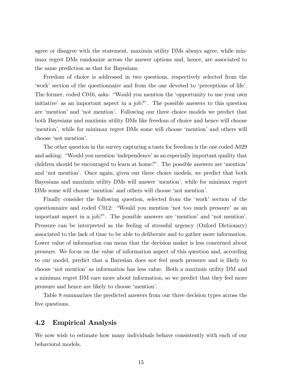agree or disagree with the statement, maximin utility DMs always agree, while minimax regret DMs randomize across the answer options and, hence, are associated to the same prediction as that for Bayesians.

Freedom of choice is addressed in two questions, respectively selected from the ëworkí section of the questionnaire and from the one devoted to ëperceptions of lifeí. The former, coded C016, asks: "Would you mention the 'opportunity to use your own initiative' as an important aspect in a job?". The possible answers to this question are ëmentioní and ënot mentioní. Following our three choice models we predict that both Bayesians and maximin utility DMs like freedom of choice and hence will choose ëmentioní, while for minimax regret DMs some will choose ëmentioní and others will choose 'not mention'.

The other question in the survey capturing a taste for freedom is the one coded A029 and asking: "Would you mention 'independence' as an especially important quality that children should be encouraged to learn at home?". The possible answers are 'mention' and 'not mention'. Once again, given our three choice models, we predict that both Bayesians and maximin utility DMs will answer 'mention', while for minimax regret DMs some will choose 'mention' and others will choose 'not mention'.

Finally consider the following question, selected from the 'work' section of the questionnaire and coded C012: "Would you mention 'not too much pressure' as an important aspect in a job?". The possible answers are 'mention' and 'not mention'. Pressure can be interpreted as the feeling of stressful urgency (Oxford Dictionary) associated to the lack of time to be able to deliberate and to gather more information. Lower value of information can mean that the decision maker is less concerned about pressure. We focus on the value of information aspect of this question and, according to our model, predict that a Bayesian does not feel much pressure and is likely to choose ënot mentionías information has less value. Both a maximin utility DM and a minimax regret DM care more about information, so we predict that they feel more pressure and hence are likely to choose 'mention'.

Table 8 summarizes the predicted answers from our three decision types across the five questions.

#### 4.2 Empirical Analysis

We now wish to estimate how many individuals behave consistently with each of our behavioral models.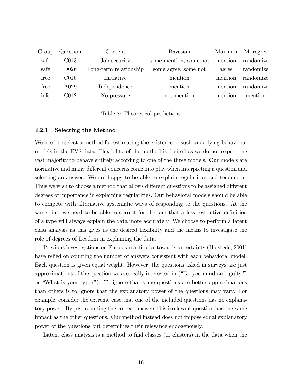| Group | Question         | Content                | Bayesian               | Maximin | M. regret |
|-------|------------------|------------------------|------------------------|---------|-----------|
| safe  | CO13             | Job security           | some mention, some not | mention | randomize |
| safe  | D <sub>026</sub> | Long-term relationship | some agree, some not   | agree   | randomize |
| free  | C <sub>016</sub> | Initiative             | mention                | mention | randomize |
| free  | A029             | Independence           | mention                | mention | randomize |
| info  | C012             | No pressure            | not mention            | mention | mention   |

Table 8: Theoretical predictions

#### 4.2.1 Selecting the Method

We need to select a method for estimating the existence of such underlying behavioral models in the EVS data. Flexibility of the method is desired as we do not expect the vast majority to behave entirely according to one of the three models. Our models are normative and many different concerns come into play when interpreting a question and selecting an answer. We are happy to be able to explain regularities and tendencies. Thus we wish to choose a method that allows different questions to be assigned different degrees of importance in explaining regularities. Our behavioral models should be able to compete with alternative systematic ways of responding to the questions. At the same time we need to be able to correct for the fact that a less restrictive definition of a type will always explain the data more accurately. We choose to perform a latent class analysis as this gives us the desired flexibility and the means to investigate the role of degrees of freedom in explaining the data.

Previous investigations on European attitudes towards uncertainty (Hofstede, 2001) have relied on counting the number of answers consistent with each behavioral model. Each question is given equal weight. However, the questions asked in surveys are just approximations of the question we are really interested in  $\degree$  To you mind ambiguity?" or "What is your type?"). To ignore that some questions are better approximations than others is to ignore that the explanatory power of the questions may vary. For example, consider the extreme case that one of the included questions has no explanatory power. By just counting the correct answers this irrelevant question has the same impact as the other questions. Our method instead does not impose equal explanatory power of the questions but determines their relevance endogenously.

Latent class analysis is a method to find classes (or clusters) in the data when the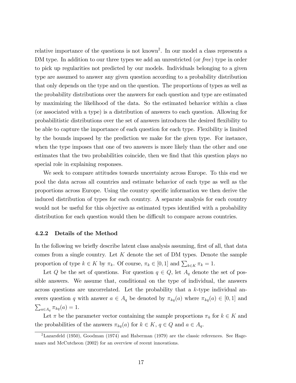relative importance of the questions is not known<sup>2</sup>. In our model a class represents a DM type. In addition to our three types we add an unrestricted (or free) type in order to pick up regularities not predicted by our models. Individuals belonging to a given type are assumed to answer any given question according to a probability distribution that only depends on the type and on the question. The proportions of types as well as the probability distributions over the answers for each question and type are estimated by maximizing the likelihood of the data. So the estimated behavior within a class (or associated with a type) is a distribution of answers to each question. Allowing for probabilitistic distributions over the set of answers introduces the desired flexibility to be able to capture the importance of each question for each type. Flexibility is limited by the bounds imposed by the prediction we make for the given type. For instance, when the type imposes that one of two answers is more likely than the other and one estimates that the two probabilities coincide, then we find that this question plays no special role in explaining responses.

We seek to compare attitudes towards uncertainty across Europe. To this end we pool the data across all countries and estimate behavior of each type as well as the proportions across Europe. Using the country speciÖc information we then derive the induced distribution of types for each country. A separate analysis for each country would not be useful for this objective as estimated types identified with a probability distribution for each question would then be difficult to compare across countries.

#### 4.2.2 Details of the Method

In the following we briefly describe latent class analysis assuming, first of all, that data comes from a single country. Let  $K$  denote the set of DM types. Denote the sample proportion of type  $k \in K$  by  $\pi_k$ . Of course,  $\pi_k \in [0, 1]$  and  $\sum_{k \in K} \pi_k = 1$ .

Let Q be the set of questions. For question  $q \in Q$ , let  $A_q$  denote the set of possible answers. We assume that, conditional on the type of individual, the answers across questions are uncorrelated. Let the probability that a k-type individual answers question q with answer  $a \in A_q$  be denoted by  $\pi_{kq}(a)$  where  $\pi_{kq}(a) \in [0, 1]$  and  $\sum_{a\in A_q}\pi_{kq}(a)=1.$ 

Let  $\pi$  be the parameter vector containing the sample proportions  $\pi_k$  for  $k \in K$  and the probabilities of the answers  $\pi_{kq}(a)$  for  $k \in K$ ,  $q \in Q$  and  $a \in A_q$ .

<sup>&</sup>lt;sup>2</sup>Lazarsfeld (1950), Goodman (1974) and Haberman (1979) are the classic references. See Hagenaars and McCutcheon (2002) for an overview of recent innovations.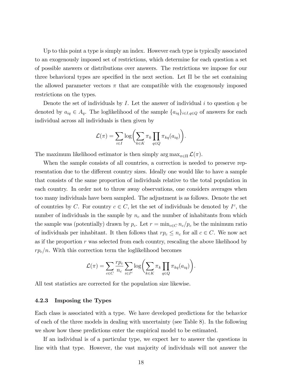Up to this point a type is simply an index. However each type is typically associated to an exogenously imposed set of restrictions, which determine for each question a set of possible answers or distributions over answers. The restrictions we impose for our three behavioral types are specified in the next section. Let  $\Pi$  be the set containing the allowed parameter vectors  $\pi$  that are compatible with the exogenously imposed restrictions on the types.

Denote the set of individuals by  $I$ . Let the answer of individual  $i$  to question  $q$  be denoted by  $a_{iq} \in A_q$ . The loglikelihood of the sample  $\{a_{iq}\}_{i \in I, q \in Q}$  of answers for each individual across all individuals is then given by

$$
\mathcal{L}(\pi) = \sum_{i \in I} \log \biggl( \sum_{k \in K} \pi_k \prod_{q \in Q} \pi_{kq}(a_{iq}) \biggr).
$$

The maximum likelihood estimator is then simply arg  $\max_{\pi \in \Pi} \mathcal{L}(\pi)$ .

When the sample consists of all countries, a correction is needed to preserve representation due to the different country sizes. Ideally one would like to have a sample that consists of the same proportion of individuals relative to the total population in each country. In order not to throw away observations, one considers averages when too many individuals have been sampled. The adjustment is as follows. Denote the set of countries by C. For country  $c \in C$ , let the set of individuals be denoted by  $I^c$ , the number of individuals in the sample by  $n_c$  and the number of inhabitants from which the sample was (potentially) drawn by  $p_c$ . Let  $r = \min_{c \in C} n_c/p_c$  be the minimum ratio of individuals per inhabitant. It then follows that  $rp_c \leq n_c$  for all  $c \in C$ . We now act as if the proportion  $r$  was selected from each country, rescaling the above likelihood by  $rp_c/n$ . With this correction term the loglikelihood becomes

$$
\mathcal{L}(\pi) = \sum_{c \in C} \frac{rp_c}{n_c} \sum_{i \in I^c} \log \left( \sum_{k \in K} \pi_k \prod_{q \in Q} \pi_{kq}(a_{iq}) \right).
$$

All test statistics are corrected for the population size likewise.

#### 4.2.3 Imposing the Types

Each class is associated with a type. We have developed predictions for the behavior of each of the three models in dealing with uncertainty (see Table 8). In the following we show how these predictions enter the empirical model to be estimated.

If an individual is of a particular type, we expect her to answer the questions in line with that type. However, the vast majority of individuals will not answer the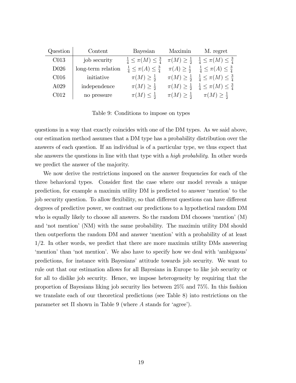| Question         | Content            | Bayesian                                                                                                        | Maximin                   | M. regret                                                            |
|------------------|--------------------|-----------------------------------------------------------------------------------------------------------------|---------------------------|----------------------------------------------------------------------|
| C <sub>013</sub> | job security       | $\frac{1}{4} \leq \pi(M) \leq \frac{3}{4}$ $\pi(M) \geq \frac{1}{2}$ $\frac{1}{4} \leq \pi(M) \leq \frac{3}{4}$ |                           |                                                                      |
| D <sub>026</sub> | long-term relation | $\frac{1}{4} \leq \pi(A) \leq \frac{3}{4}$                                                                      |                           | $\pi(A) \geq \frac{1}{2}$ $\frac{1}{4} \leq \pi(A) \leq \frac{3}{4}$ |
| C <sub>016</sub> | initiative         | $\pi(M) \geq \frac{1}{2}$                                                                                       |                           | $\pi(M) \geq \frac{1}{2}$ $\frac{1}{4} \leq \pi(M) \leq \frac{3}{4}$ |
| A029             | independence       | $\pi(M) \geq \frac{1}{2}$                                                                                       |                           | $\pi(M) \geq \frac{1}{2}$ $\frac{1}{4} \leq \pi(M) \leq \frac{3}{4}$ |
| C <sub>012</sub> | no pressure        | $\pi(M) \leq \frac{1}{2}$                                                                                       | $\pi(M) \geq \frac{1}{2}$ | $\pi(M) \geq \frac{1}{2}$                                            |

Table 9: Conditions to impose on types

questions in a way that exactly coincides with one of the DM types. As we said above, our estimation method assumes that a DM type has a probability distribution over the answers of each question. If an individual is of a particular type, we thus expect that she answers the questions in line with that type with a *high probability*. In other words we predict the answer of the majority.

We now derive the restrictions imposed on the answer frequencies for each of the three behavioral types. Consider first the case where our model reveals a unique prediction, for example a maximin utility DM is predicted to answer 'mention' to the job security question. To allow flexibility, so that different questions can have different degrees of predictive power, we contrast our predictions to a hypothetical random DM who is equally likely to choose all answers. So the random  $DM$  chooses 'mention'  $(M)$ and 'not mention' (NM) with the same probability. The maximin utility DM should then outperform the random DM and answer 'mention' with a probability of at least 1/2. In other words, we predict that there are more maximin utility DMs answering emention than 'not mention'. We also have to specify how we deal with 'ambiguous' predictions, for instance with Bayesiansí attitude towards job security. We want to rule out that our estimation allows for all Bayesians in Europe to like job security or for all to dislike job security. Hence, we impose heterogeneity by requiring that the proportion of Bayesians liking job security lies between 25% and 75%: In this fashion we translate each of our theoretical predictions (see Table 8) into restrictions on the parameter set  $\Pi$  shown in Table 9 (where A stands for 'agree').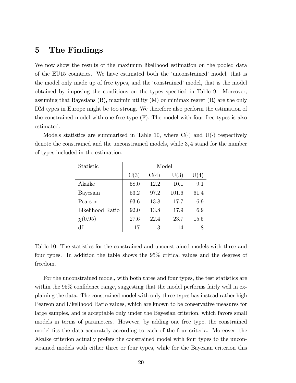### 5 The Findings

We now show the results of the maximum likelihood estimation on the pooled data of the EU15 countries. We have estimated both the 'unconstrained' model, that is the model only made up of free types, and the 'constrained' model, that is the model obtained by imposing the conditions on the types specified in Table 9. Moreover, assuming that Bayesians  $(B)$ , maximin utility  $(M)$  or minimax regret  $(R)$  are the only DM types in Europe might be too strong. We therefore also perform the estimation of the constrained model with one free type (F). The model with four free types is also estimated.

Models statistics are summarized in Table 10, where  $C(\cdot)$  and  $U(\cdot)$  respectively denote the constrained and the unconstrained models, while 3; 4 stand for the number of types included in the estimation.

| Statistic        | Model   |         |          |         |  |  |
|------------------|---------|---------|----------|---------|--|--|
|                  | C(3)    | C(4)    | U(3)     | U(4)    |  |  |
| Akaike           | 58.0    | $-12.2$ | $-10.1$  | $-9.1$  |  |  |
| <b>Bayesian</b>  | $-53.2$ | $-97.2$ | $-101.6$ | $-61.4$ |  |  |
| Pearson          | 93.6    | 13.8    | 17.7     | 6.9     |  |  |
| Likelihood Ratio | 92.0    | 13.8    | 17.9     | 6.9     |  |  |
| $\chi(0.95)$     | 27.6    | 22.4    | 23.7     | 15.5    |  |  |
| Чŧ               |         | 13      | 14       | 8       |  |  |

Table 10: The statistics for the constrained and unconstrained models with three and four types. In addition the table shows the 95% critical values and the degrees of freedom.

For the unconstrained model, with both three and four types, the test statistics are within the  $95\%$  confidence range, suggesting that the model performs fairly well in explaining the data. The constrained model with only three types has instead rather high Pearson and Likelihood Ratio values, which are known to be conservative measures for large samples, and is acceptable only under the Bayesian criterion, which favors small models in terms of parameters. However, by adding one free type, the constrained model fits the data accurately according to each of the four criteria. Moreover, the Akaike criterion actually prefers the constrained model with four types to the unconstrained models with either three or four types, while for the Bayesian criterion this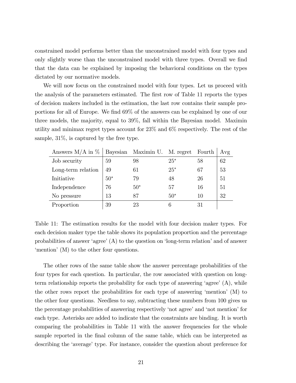constrained model performs better than the unconstrained model with four types and only slightly worse than the unconstrained model with three types. Overall we find that the data can be explained by imposing the behavioral conditions on the types dictated by our normative models.

We will now focus on the constrained model with four types. Let us proceed with the analysis of the parameters estimated. The first row of Table 11 reports the types of decision makers included in the estimation, the last row contains their sample proportions for all of Europe. We find 69% of the answers can be explained by one of our three models, the majority, equal to 39%, fall within the Bayesian model. Maximin utility and minimax regret types account for 23% and 6% respectively. The rest of the sample, 31%, is captured by the free type.

| Answers $M/A$ in $%$ |       | Bayesian Maximin U. M. regret Fourth |       |    | Avg |
|----------------------|-------|--------------------------------------|-------|----|-----|
| Job security         | 59    | 98                                   | $25*$ | 58 | 62  |
| Long-term relation   | 49    | 61                                   | $25*$ | 67 | 53  |
| Initiative           | $50*$ | 79                                   | 48    | 26 | 51  |
| Independence         | 76    | $50*$                                | 57    | 16 | 51  |
| No pressure          | 13    | 87                                   | $50*$ | 10 | 32  |
| Proportion           | 39    | 23                                   |       | 31 |     |

Table 11: The estimation results for the model with four decision maker types. For each decision maker type the table shows its population proportion and the percentage probabilities of answer 'agree'  $(A)$  to the question on 'long-term relation' and of answer 'mention'  $(M)$  to the other four questions.

The other rows of the same table show the answer percentage probabilities of the four types for each question. In particular, the row associated with question on longterm relationship reports the probability for each type of answering 'agree'  $(A)$ , while the other rows report the probabilities for each type of answering 'mention'  $(M)$  to the other four questions. Needless to say, subtracting these numbers from 100 gives us the percentage probabilities of answering respectively 'not agree' and 'not mention' for each type. Asterisks are added to indicate that the constraints are binding. It is worth comparing the probabilities in Table 11 with the answer frequencies for the whole sample reported in the final column of the same table, which can be interpreted as describing the 'average' type. For instance, consider the question about preference for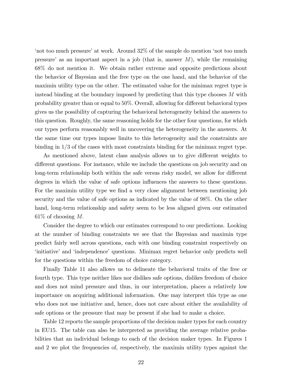$\phi$  too much pressure' at work. Around 32% of the sample do mention  $\phi$  too much pressure' as an important aspect in a job (that is, answer  $M$ ), while the remaining 68% do not mention it. We obtain rather extreme and opposite predictions about the behavior of Bayesian and the free type on the one hand, and the behavior of the maximin utility type on the other. The estimated value for the minimax regret type is instead binding at the boundary imposed by predicting that this type chooses M with probability greater than or equal to 50%. Overall, allowing for different behavioral types gives us the possibility of capturing the behavioral heterogeneity behind the answers to this question. Roughly, the same reasoning holds for the other four questions, for which our types perform reasonably well in uncovering the heterogeneity in the answers. At the same time our types impose limits to this heterogeneity and the constraints are binding in  $1/3$  of the cases with most constraints binding for the minimax regret type.

As mentioned above, latent class analysis allows us to give different weights to different questions. For instance, while we include the questions on job security and on long-term relationship both within the safe versus risky model, we allow for different degrees in which the value of safe options influences the answers to these questions. For the maximin utility type we find a very close alignment between mentioning job security and the value of safe options as indicated by the value of 98%. On the other hand, long-term relationship and safety seem to be less aligned given our estimated  $61\%$  of choosing M.

Consider the degree to which our estimates correspond to our predictions. Looking at the number of binding constraints we see that the Bayesian and maximin type predict fairly well across questions, each with one binding constraint respectively on ëinitiativeíand ëindependenceíquestions. Minimax regret behavior only predicts well for the questions within the freedom of choice category.

Finally Table 11 also allows us to delineate the behavioral traits of the free or fourth type. This type neither likes nor dislikes safe options, dislikes freedom of choice and does not mind pressure and thus, in our interpretation, places a relatively low importance on acquiring additional information. One may interpret this type as one who does not use initiative and, hence, does not care about either the availability of safe options or the pressure that may be present if she had to make a choice.

Table 12 reports the sample proportions of the decision maker types for each country in EU15. The table can also be interpreted as providing the average relative probabilities that an individual belongs to each of the decision maker types. In Figures 1 and 2 we plot the frequencies of, respectively, the maximin utility types against the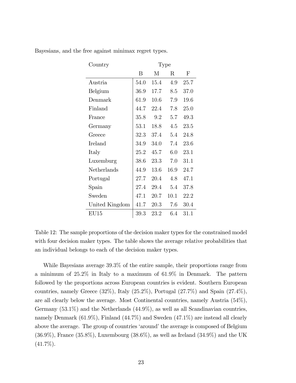| Country        | Type |      |         |                           |  |  |
|----------------|------|------|---------|---------------------------|--|--|
|                | B    | М    | $\rm R$ | $\boldsymbol{\mathrm{F}}$ |  |  |
| Austria        | 54.0 | 15.4 | 4.9     | 25.7                      |  |  |
| Belgium        | 36.9 | 17.7 | 8.5     | 37.0                      |  |  |
| Denmark        | 61.9 | 10.6 | 7.9     | 19.6                      |  |  |
| Finland        | 44.7 | 22.4 | 7.8     | 25.0                      |  |  |
| France         | 35.8 | 9.2  | 5.7     | 49.3                      |  |  |
| Germany        | 53.1 | 18.8 | 4.5     | 23.5                      |  |  |
| Greece         | 32.3 | 37.4 | 5.4     | 24.8                      |  |  |
| Ireland        | 34.9 | 34.0 | 7.4     | 23.6                      |  |  |
| Italy          | 25.2 | 45.7 | 6.0     | 23.1                      |  |  |
| Luxemburg      | 38.6 | 23.3 | 7.0     | 31.1                      |  |  |
| Netherlands    | 44.9 | 13.6 | 16.9    | 24.7                      |  |  |
| Portugal       | 27.7 | 20.4 | 4.8     | 47.1                      |  |  |
| Spain          | 27.4 | 29.4 | 5.4     | 37.8                      |  |  |
| Sweden         | 47.1 | 20.7 | 10.1    | 22.2                      |  |  |
| United Kingdom | 41.7 | 20.3 | 7.6     | 30.4                      |  |  |
| EU15           | 39.3 | 23.2 | 6.4     | 31.1                      |  |  |

Bayesians, and the free against minimax regret types.

Table 12: The sample proportions of the decision maker types for the constrained model with four decision maker types. The table shows the average relative probabilities that an individual belongs to each of the decision maker types.

While Bayesians average 39:3% of the entire sample, their proportions range from a minimum of 25:2% in Italy to a maximum of 61:9% in Denmark. The pattern followed by the proportions across European countries is evident. Southern European countries, namely Greece  $(32\%)$ , Italy  $(25.2\%)$ , Portugal  $(27.7\%)$  and Spain  $(27.4\%)$ , are all clearly below the average. Most Continental countries, namely Austria (54%), Germany (53:1%) and the Netherlands (44:9%), as well as all Scandinavian countries, namely Denmark (61.9%), Finland (44.7%) and Sweden (47.1%) are instead all clearly above the average. The group of countries 'around' the average is composed of Belgium  $(36.9\%)$ , France  $(35.8\%)$ , Luxembourg  $(38.6\%)$ , as well as Ireland  $(34.9\%)$  and the UK  $(41.7\%).$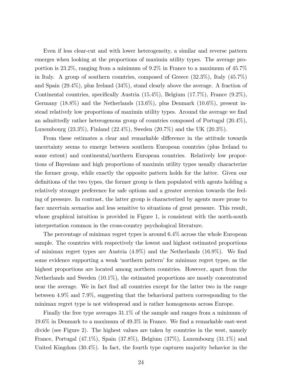Even if less clear-cut and with lower heterogeneity, a similar and reverse pattern emerges when looking at the proportions of maximin utility types. The average proportion is 23:2%, ranging from a minimum of 9:2% in France to a maximum of 45:7% in Italy. A group of southern countries, composed of Greece (32:3%), Italy (45:7%) and Spain (29:4%), plus Ireland (34%), stand clearly above the average. A fraction of Continental countries, specifically Austria  $(15.4\%)$ , Belgium  $(17.7\%)$ , France  $(9.2\%)$ , Germany (18:8%) and the Netherlands (13:6%), plus Denmark (10:6%), present instead relatively low proportions of maximin utility types. Around the average we find an admittedly rather heterogenous group of countries composed of Portugal (20:4%), Luxembourg  $(23.3\%)$ , Finland  $(22.4\%)$ , Sweden  $(20.7\%)$  and the UK  $(20.3\%)$ .

From these estimates a clear and remarkable difference in the attitude towards uncertainty seems to emerge between southern European countries (plus Ireland to some extent) and continental/northern European countries. Relatively low proportions of Bayesians and high proportions of maximin utility types usually characterize the former group, while exactly the opposite pattern holds for the latter. Given our definitions of the two types, the former group is then populated with agents holding a relatively stronger preference for safe options and a greater aversion towards the feeling of pressure. In contrast, the latter group is characterized by agents more prone to face uncertain scenarios and less sensitive to situations of great pressure. This result, whose graphical intuition is provided in Figure 1, is consistent with the north-south interpretation common in the cross-country psychological literature.

The percentage of minimax regret types is around 6:4% across the whole European sample. The countries with respectively the lowest and highest estimated proportions of minimax regret types are Austria  $(4.9\%)$  and the Netherlands  $(16.9\%)$ . We find some evidence supporting a weak 'northern pattern' for minimax regret types, as the highest proportions are located among northern countries. However, apart from the Netherlands and Sweden (10:1%), the estimated proportions are mostly concentrated near the average. We in fact find all countries except for the latter two in the range between 4:9% and 7:9%, suggesting that the behavioral pattern corresponding to the minimax regret type is not widespread and is rather homogenous across Europe.

Finally the free type averages 31:1% of the sample and ranges from a minimum of 19:6% in Denmark to a maximum of 49:3% in France. We Önd a remarkable east-west divide (see Figure 2). The highest values are taken by countries in the west, namely France, Portugal (47:1%), Spain (37:8%), Belgium (37%), Luxembourg (31:1%) and United Kingdom (30:4%). In fact, the fourth type captures majority behavior in the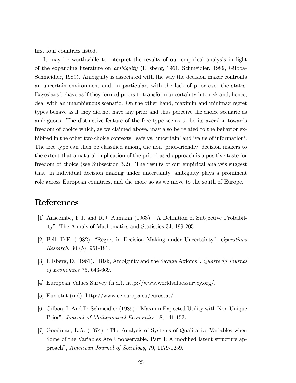first four countries listed.

It may be worthwhile to interpret the results of our empirical analysis in light of the expanding literature on ambiguity (Ellsberg, 1961, Schmeidler, 1989, Gilboa-Schmeidler, 1989). Ambiguity is associated with the way the decision maker confronts an uncertain environment and, in particular, with the lack of prior over the states. Bayesians behave as if they formed priors to transform uncertainty into risk and, hence, deal with an unambiguous scenario. On the other hand, maximin and minimax regret types behave as if they did not have any prior and thus perceive the choice scenario as ambiguous. The distinctive feature of the free type seems to be its aversion towards freedom of choice which, as we claimed above, may also be related to the behavior exhibited in the other two choice contexts, 'safe vs. uncertain' and 'value of information'. The free type can then be classified among the non 'prior-friendly' decision makers to the extent that a natural implication of the prior-based approach is a positive taste for freedom of choice (see Subsection 3.2). The results of our empirical analysis suggest that, in individual decision making under uncertainty, ambiguity plays a prominent role across European countries, and the more so as we move to the south of Europe.

### References

- [1] Anscombe, F.J. and R.J. Aumann (1963). "A Definition of Subjective Probabilityî. The Annals of Mathematics and Statistics 34, 199-205.
- [2] Bell, D.E. (1982). "Regret in Decision Making under Uncertainty". *Operations* Research, 30 (5), 961-181.
- [3] Ellsberg, D. (1961). "Risk, Ambiguity and the Savage Axioms", Quarterly Journal of Economics 75, 643-669.
- [4] European Values Survey (n.d.). http://www.worldvaluessurvey.org/.
- [5] Eurostat (n.d). http://www.ec.europa.eu/eurostat/.
- [6] Gilboa, I. And D. Schmeidler (1989). "Maxmin Expected Utility with Non-Unique Prior". Journal of Mathematical Economics 18, 141-153.
- $[7]$  Goodman, L.A.  $(1974)$ . "The Analysis of Systems of Qualitative Variables when Some of the Variables Are Unobservable. Part I: A modified latent structure approach", American Journal of Sociology, 79, 1179-1259.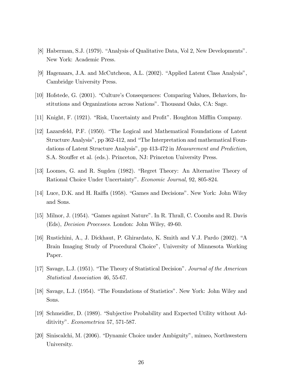- [8] Haberman, S.J. (1979). "Analysis of Qualitative Data, Vol 2, New Developments". New York: Academic Press.
- [9] Hagenaars, J.A. and McCutcheon, A.L. (2002). "Applied Latent Class Analysis", Cambridge University Press.
- [10] Hofstede, G. (2001). "Culture's Consequences: Comparing Values, Behaviors, Institutions and Organizations across Nationsî. Thousand Oaks, CA: Sage.
- [11] Knight, F. (1921). "Risk, Uncertainty and Profit". Houghton Mifflin Company.
- [12] Lazarsfeld, P.F. (1950). "The Logical and Mathematical Foundations of Latent Structure Analysis", pp 362-412, and "The Interpretation and mathematical Foundations of Latent Structure Analysis", pp 413-472 in Measurement and Prediction, S.A. Stouffer et al. (eds.). Princeton, NJ: Princeton University Press.
- [13] Loomes, G. and R. Sugden (1982). "Regret Theory: An Alternative Theory of Rational Choice Under Uncertainty". *Economic Journal*, 92, 805-824.
- [14] Luce, D.K. and H. Raiffa (1958). "Games and Decisions". New York: John Wiley and Sons.
- [15] Milnor, J. (1954). "Games against Nature". In R. Thrall, C. Coombs and R. Davis (Eds), Decision Processes. London: John Wiley, 49-60.
- [16] Rustichini, A., J. Dickhaut, P. Ghirardato, K. Smith and V.J. Pardo  $(2002)$ . "A Brain Imaging Study of Procedural Choiceî, University of Minnesota Working Paper.
- [17] Savage, L.J. (1951). "The Theory of Statistical Decision". Journal of the American Statistical Association 46, 55-67.
- [18] Savage, L.J. (1954). "The Foundations of Statistics". New York: John Wiley and Sons.
- [19] Schmeidler, D. (1989). "Subjective Probability and Expected Utility without Additivity". *Econometrica* 57, 571-587.
- [20] Siniscalchi, M. (2006). "Dynamic Choice under Ambiguity", mimeo, Northwestern University.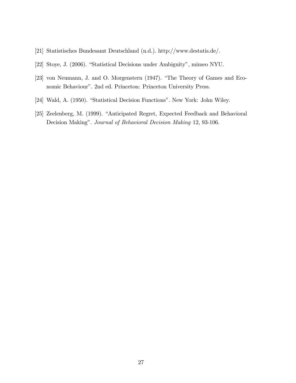- [21] Statistisches Bundesamt Deutschland (n.d.). http://www.destatis.de/.
- [22] Stoye, J. (2006). "Statistical Decisions under Ambiguity", mimeo NYU.
- $[23]$  von Neumann, J. and O. Morgenstern  $(1947)$ . "The Theory of Games and Economic Behaviour". 2nd ed. Princeton: Princeton University Press.
- [24] Wald, A. (1950). "Statistical Decision Functions". New York: John Wiley.
- [25] Zeelenberg, M. (1999). "Anticipated Regret, Expected Feedback and Behavioral Decision Making". Journal of Behavioral Decision Making 12, 93-106.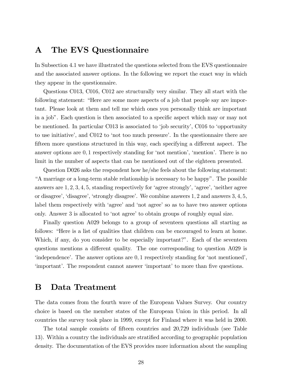### A The EVS Questionnaire

In Subsection 4.1 we have illustrated the questions selected from the EVS questionnaire and the associated answer options. In the following we report the exact way in which they appear in the questionnaire.

Questions C013, C016, C012 are structurally very similar. They all start with the following statement: "Here are some more aspects of a job that people say are important. Please look at them and tell me which ones you personally think are important in a job". Each question is then associated to a specific aspect which may or may not be mentioned. In particular C013 is associated to 'job security', C016 to 'opportunity to use initiative', and C012 to 'not too much pressure'. In the questionnaire there are fifteen more questions structured in this way, each specifying a different aspect. The answer options are  $0, 1$  respectively standing for 'not mention', 'mention'. There is no limit in the number of aspects that can be mentioned out of the eighteen presented.

Question D026 asks the respondent how he/she feels about the following statement:  $A<sup>a</sup>A$  marriage or a long-term stable relationship is necessary to be happy". The possible answers are  $1, 2, 3, 4, 5$ , standing respectively for 'agree strongly', 'agree', 'neither agree or disagree', 'disagree', 'strongly disagree'. We combine answers  $1, 2$  and answers  $3, 4, 5$ , label them respectively with 'agree' and 'not agree' so as to have two answer options only. Answer 3 is allocated to 'not agree' to obtain groups of roughly equal size.

Finally question A029 belongs to a group of seventeen questions all starting as follows: "Here is a list of qualities that children can be encouraged to learn at home. Which, if any, do you consider to be especially important?". Each of the seventeen questions mentions a different quality. The one corresponding to question A029 is  $\alpha$  independence. The answer options are 0, 1 respectively standing for 'not mentioned', Europeism intervalse in the respondent cannot answer 'important' to more than five questions.

### B Data Treatment

The data comes from the fourth wave of the European Values Survey. Our country choice is based on the member states of the European Union in this period. In all countries the survey took place in 1999, except for Finland where it was held in 2000.

The total sample consists of Öfteen countries and 20,729 individuals (see Table 13). Within a country the individuals are stratified according to geographic population density. The documentation of the EVS provides more information about the sampling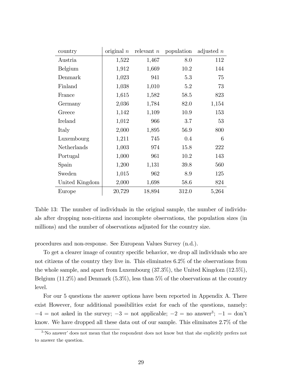| country        | original $n$ | relevant $n$ | population | adjusted $n$ |
|----------------|--------------|--------------|------------|--------------|
| Austria        | 1,522        | 1,467        | 8.0        | 112          |
| Belgium        | 1,912        | 1,669        | 10.2       | 144          |
| Denmark        | 1,023        | 941          | 5.3        | 75           |
| Finland        | 1,038        | 1,010        | 5.2        | 73           |
| France         | 1,615        | 1,582        | 58.5       | 823          |
| Germany        | 2,036        | 1,784        | 82.0       | 1,154        |
| Greece         | 1,142        | 1,109        | 10.9       | 153          |
| Ireland        | 1,012        | 966          | 3.7        | 53           |
| Italy          | 2,000        | 1,895        | 56.9       | 800          |
| Luxembourg     | 1,211        | 745          | 0.4        | 6            |
| Netherlands    | 1,003        | 974          | 15.8       | 222          |
| Portugal       | 1,000        | 961          | 10.2       | 143          |
| Spain          | 1,200        | 1,131        | 39.8       | 560          |
| Sweden         | 1,015        | 962          | 8.9        | 125          |
| United Kingdom | 2,000        | 1,698        | 58.6       | 824          |
| Europe         | 20,729       | 18,894       | 312.0      | 5,264        |

Table 13: The number of individuals in the original sample, the number of individuals after dropping non-citizens and incomplete observations, the population sizes (in millions) and the number of observations adjusted for the country size.

procedures and non-response. See European Values Survey (n.d.).

To get a clearer image of country specific behavior, we drop all individuals who are not citizens of the country they live in. This eliminates 6.2% of the observations from the whole sample, and apart from Luxembourg (37.3%), the United Kingdom (12.5%), Belgium  $(11.2\%)$  and Denmark  $(5.3\%)$ , less than 5% of the observations at the country level.

For our 5 questions the answer options have been reported in Appendix A. There exist However, four additional possibilities exist for each of the questions, namely:  $-4$  = not asked in the survey;  $-3$  = not applicable;  $-2$  = no answer<sup>3</sup>;  $-1$  = don't know. We have dropped all these data out of our sample. This eliminates 2.7% of the

 $3'$ No answer' does not mean that the respondent does not know but that she explicitly prefers not to answer the question.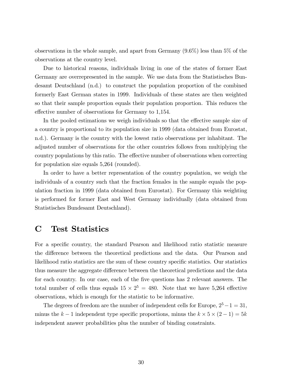observations in the whole sample, and apart from Germany (9.6%) less than 5% of the observations at the country level.

Due to historical reasons, individuals living in one of the states of former East Germany are overrepresented in the sample. We use data from the Statistisches Bundesamt Deutschland (n.d.) to construct the population proportion of the combined formerly East German states in 1999. Individuals of these states are then weighted so that their sample proportion equals their population proportion. This reduces the effective number of observations for Germany to 1,154.

In the pooled estimations we weigh individuals so that the effective sample size of a country is proportional to its population size in 1999 (data obtained from Eurostat, n.d.). Germany is the country with the lowest ratio observations per inhabitant. The adjusted number of observations for the other countries follows from multiplying the country populations by this ratio. The effective number of observations when correcting for population size equals 5,264 (rounded).

In order to have a better representation of the country population, we weigh the individuals of a country such that the fraction females in the sample equals the population fraction in 1999 (data obtained from Eurostat). For Germany this weighting is performed for former East and West Germany individually (data obtained from Statistisches Bundesamt Deutschland).

### C Test Statistics

For a specific country, the standard Pearson and likelihood ratio statistic measure the difference between the theoretical predictions and the data. Our Pearson and likelihood ratio statistics are the sum of these country specific statistics. Our statistics thus measure the aggregate difference between the theoretical predictions and the data for each country. In our case, each of the five questions has 2 relevant answers. The total number of cells thus equals  $15 \times 2^5 = 480$ . Note that we have 5,264 effective observations, which is enough for the statistic to be informative.

The degrees of freedom are the number of independent cells for Europe,  $2^5 - 1 = 31$ , minus the  $k-1$  independent type specific proportions, minus the  $k \times 5 \times (2-1) = 5k$ independent answer probabilities plus the number of binding constraints.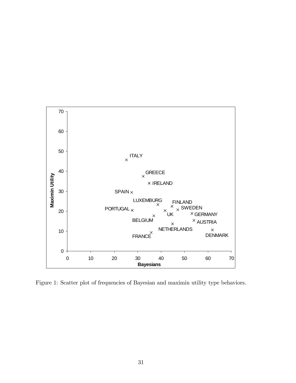

Figure 1: Scatter plot of frequencies of Bayesian and maximin utility type behaviors.